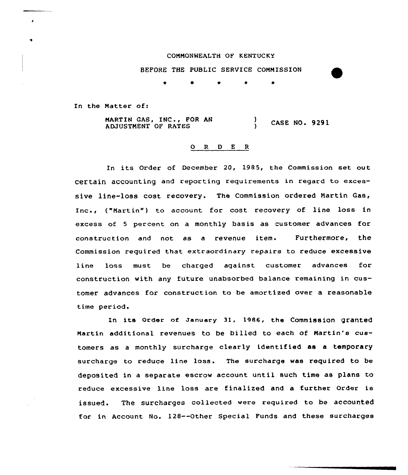#### CONNONNEALTH OF KENTUCKY

BEFORE THE PUBLIC SERVICE COMMISSION

\* <sup>0</sup> \* \* \*

In the Matter of:

MARTIN GAS, INC., FOR AN MARTIN GAS, INC., FOR AN (2008) CASE NO. 9291

### O R D E R

In its Order of December 20, 1985, the Commission set out Certain accounting and reporting requirements in regard to excessive line-loss cost recovery. The Commission ordered Nartin Gas, , ("Nartin") to account for cost recovery of line loss in excess of <sup>5</sup> percent on a monthly basis as customer advances for construction and not as a revenue item. Furthermore, the Commission required that extraordinary repairs to reduce excessive line loss must be charged aqainst customer advances for construction with any future unabsorbed balance remaining in customer advances for construction to be amortized over a reasonable time period.

In its order of January 31, 1986, the Commission granted Martin additional revenues to be billed to each of Martin's customers as a monthly surcharge clearly identified as a temporary surcharge to reduce line loss. The surcharge was required to be deposited in a separate escrow account until such time as plans to reduce excessive line loss are finalized and a further Order is issued. The surcharges collected were required to be accounted for in Account No. 128--Other Special Funds and these surcharges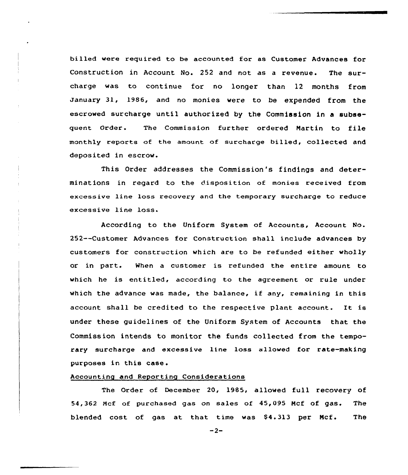billed were required to be accounted for as Customer Advances for Construction in Account No. 252 and not as a revenue. The surcharge was to continue for no longer than 12 months from January 31, 1986, and no monies were to be expended from the escrowed surcharge until authorized by the Commission in a subsequent Order. The Commission further ordered Martin to file monthly reports of the amount of surcharge billed, collected and deposited in escrow.

This Order addresses the Commission's findings and determinations in regard to the disposition of monies received from excessive line loss recovery and the temporary surcharge to reduce excessive line loss.

According to the Uniform System of Accounts, Account No. 252--Customer Advances for Construction shall include advances by customers for construction which are to be refunded either wholly or in part. When a customer is refunded the entire amount to which he is entitled, according to the agreement or rule under which the advance was made, the balance, if any, remaining in this account shall be credited to the respective plant account. It is under these guidelines of the Uniform System of Accounts that the Commission intends to monitor the funds collected from the temporary surcharge and excessive line loss allowed for rate-making purposes in this case.

# Accounting and Reporting Considerations

The Order of December 20, l985, allowed full recovery of 54,362 Mcf of purchased gas on sales of 45,095 Mcf of gas. The blended cost of gas at that time was \$4.313 per Mcf. The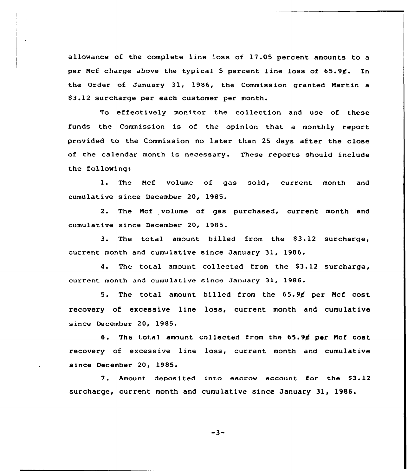allowance of the complete line loss of 17 05 percent amounts to a per Mcf charge above the typical 5 percent line loss of  $65.96$ . In the Order of January 31, 1986, the Commission granted Martin a S3.12 surcharge per each customer per month.

To effectively monitor the collection and use of these funds the Commission is of the opinion that a monthly report provided to the Commission no later than 25 days after the close of the calendar month is necessary. These reports should include the following:

1. The Ncf volume of gas sold, current month and cumulative since December 20, 1985.

2. The Mcf volume of gas purchased, current month and cumulative since December 20, 1985.

3. The total amount billed from the S3.12 surcharge, current month and cumulative since January 31, 1986.

4. The total amount collected from the \$3.12 surcharge, current month and cumulative since January 31, 1986.

5. The total amount billed from the 65.94 per Mcf cost recovery of excessive line loss, current month and cumulative since December 20, 1985.

6. The total amount cnllectod from the 65.9\$ per Ncf cost recovery of excessive line loss, current month and cumulative since December 20, 1985.

7. Amount deposited into escrow account for the \$3.12 surcharge, current month and cumulative since January 31, 1986.

$$
-3-
$$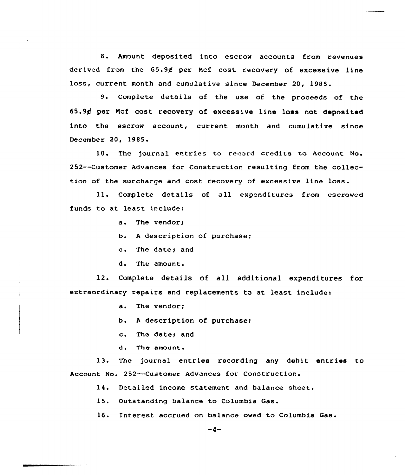8. Amount deposited into escrow accounts from revenues derived from the 65.9¢ per Mcf cost recovery of excessive line loss, current month and cumulative since December 20, 1985.

9. Complete details of the use of the proceeds of the 65.94 per Ncf cost recovery of excessive line loss not deposited into the escrow account, current month and cumulative since December 20, 1985.

10. The journal entries to record credits to Account No. 252--Customer Advances far Construction resulting from the collection af the surcharge and cost recovery of excessive line loss.

Complete details of all expenditures from escrowed funds to at least include:

a. The vendors

b. <sup>A</sup> description of purchase;

c. The date; and

d. The amount.

12. Complete details of all additional expenditures for extraordinary repairs and replacements to at least include:

a. The vendor;

b. <sup>A</sup> description of purchase;

c. The dater and

d. The amount.

13. The journal entries recording any debit entries to Account No. 252--Customer Advances for Construction.

14. Detailed income statement and balance sheet.

15. Outstanding balance to Columbia Gas.

16. Interest accrued on balance owed to Columbia Gas.

 $-4-$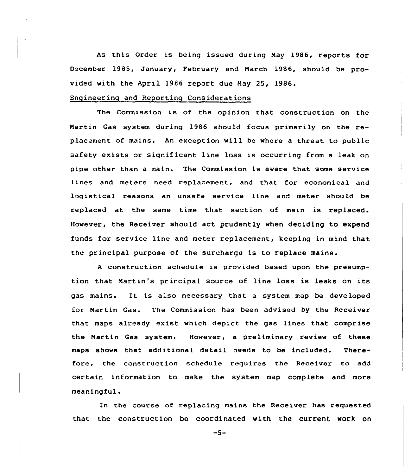As this Order is being issued during May 1986, reports for December 1985, January, February and March 1986, should be provided with the April 1986 report due May 25, 1986.

## Engineering and Reporting Considerations

The Commission is of the opinion that construction on the Martin Gas system during 1986 should focus primarily on the replacement of mains. An exception will be where a threat to public safety exists or significant line loss is occurring from a leak on pipe other than a main. The Commission is aware that some service lines and meters need replacement, and that for economical and logistical reasons an unsafe service line and meter should be replaced at the same time that section of main is replaced. However, the Receiver should act prudently when deciding to expend funds for service line and meter replacement, keeping in mind that the principal purpose of the surcharge is to replace mains.

<sup>A</sup> construction schedule is provided based upon the presumption that Martin's principal source of line loss is leaks on its gas mains. It is also necessary that <sup>a</sup> system map be developed for Martin Gas. The Commission has been advised by the Receiver that maps already exist which depict the gas lines that comprise the Martin Gas system. However, a preliminary review of these maps shows that additional detail needs to be included. Therefore, the construction schedule requires the Receiver to add certain information to make the system map complete and more meaningful.

In the course of replacing mains the Receiver has requested that the construction be coordinated with the current work on

 $-5-$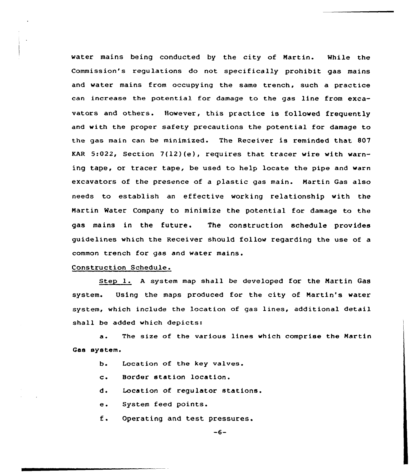water mains being conducted by the city of Nartin. While the Commission's regulations do not specifically prohibit gas mains and water mains from occupying the same trench, such a practice can increase the potential for damage to the gas line from excavators and others. However, this practice is followed frequently and with the proper safety precautions the potential for damage to the gas main can be minimized. The Receiver is reminded that 807 KAR 5:022, Section 7(12)(e), requires that tracer wire with warning tape, or tracer tape, be used to help locate the pipe and warn excavators of the presence of a plastic gas main. Martin Gas also needs to establish an effective working relationship with the Nartin Water Company to minimize the potential for damage to the gas mains in the future. The construction schedule provides guidelines which the Receiver should follow regarding the use of a common trench for gas and water mains.

Construction Schedule.

Step l. <sup>A</sup> system map shall be developed for the Martin Gas system. Using the maps produced for the city of Nartin's water system, which include the location of gas lines, additional detail shall be added which depicts:

 $\ddot{\mathbf{a}}$ . The size of the various lines which comprise the Nartin Gas system.

- Location of the key valves. ь.
- $c_{\bullet}$ Border station location.
- d. Location of regulator stations.
- e. System feed points.
- $E$ . Operating and test pressures.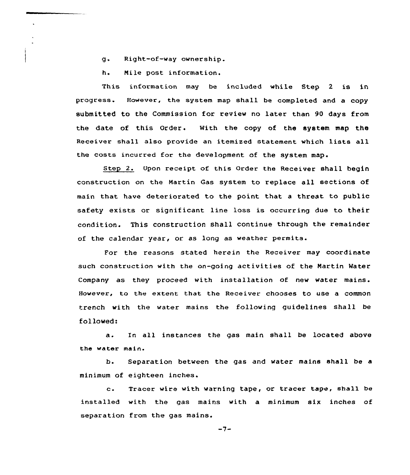- g. Right-of-way ownership.
- h. Nile post information.

This information may be included while Step 2 is in progress. However, the system map shall be completed and a copy submitted to the Commission for review no later than 90 days from the date of this Order. With the copy af the system map the Receiver shall also provide an itemized statement which lists all the costs incurred for the development of the system map.

Step 2. Upon receipt of this Order the Receiver shall begin construction on the Martin Gas system to replace all sections of main that have deteriorated to the point that a threat to public safety exists or significant line loss is occurring due to their condition. This construction shall continue through the remainder of the calendar year, or as long as weather permits.

For the reasons stated herein the Receiver may coordinate such construction with the on-going activities of the Martin Water Company as they proceed with installation of new water mains. However, to the extent that the Receiver chooses to use a common trench with the water mains the following guidelines shall be followed:

a. In all instances the gas main shall be located above the water main.

b. Separation between the gas and water mains shall be a minimum of eighteen inches.

c. Tracer wire with warning tape, or tracer tape, shall be installed with the gas mains with a minimum six inches of separation from the gas mains.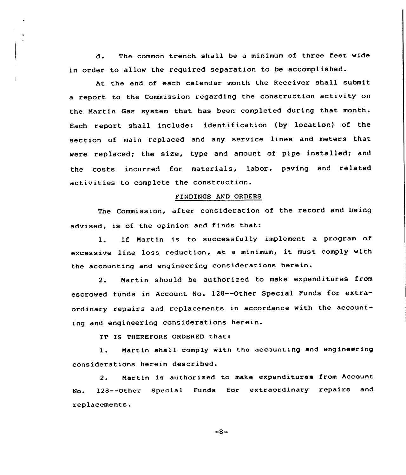d. The common trench shall be <sup>a</sup> minimum of three feet wide in order to allow the required separation to be accomplished.

At the end of each calendar month the Receiver shall submit <sup>a</sup> report to the Commission regarding the construction activity on the Martin Gas system that has been completed during that month. Each report shall include: identification (by location) of the section of main replaced and any service lines and meters that were replaced; the size, type and amount of pipe installed; and the costs incurred for materials, labor, paving and related activities to complete the construction.

### FINDINGS AND ORDERS

The Commission, after consideration of the record and being advised, is of the opinion and finds that:

l. If Martin is to successfully implement <sup>a</sup> program of excessive line loss reduction, at a minimum, it must comply with the accounting and engineering considerations herein.

2. Martin should be authorized to make expenditures from escrowed funds in Account No. 12B--Other Special Funds for extraordinary repairs and replacements in accordance with the accounting and engineering considerations herein.

IT IS THEREFORE ORDERED that:

1. Martin shall comply with the accounting and engineering considerations herein described.

2. Martin is authorized to make expenditures from Account No. 128--Other Special Funds for extraordinary repairs and replacements.

 $-8-$